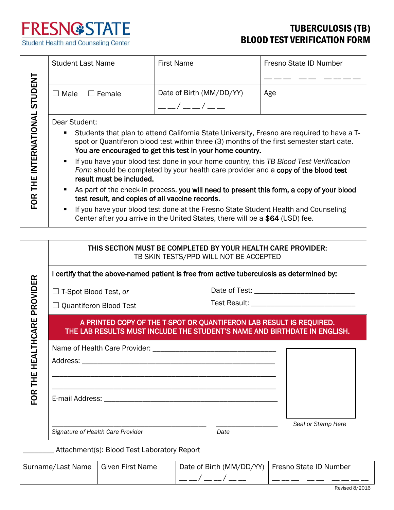

Student Health and Counseling Center

## TUBERCULOSIS (TB) BLOOD TEST VERIFICATION FORM

|                           | <b>Student Last Name</b>                                                                                                                                                                                                                                 | <b>First Name</b>        | Fresno State ID Number |  |  |
|---------------------------|----------------------------------------------------------------------------------------------------------------------------------------------------------------------------------------------------------------------------------------------------------|--------------------------|------------------------|--|--|
|                           |                                                                                                                                                                                                                                                          |                          |                        |  |  |
|                           | $\Box$ Female<br>$\Box$ Male                                                                                                                                                                                                                             | Date of Birth (MM/DD/YY) | Age                    |  |  |
|                           |                                                                                                                                                                                                                                                          | $- - / - - / - -$        |                        |  |  |
|                           | Dear Student:                                                                                                                                                                                                                                            |                          |                        |  |  |
|                           | Students that plan to attend California State University, Fresno are required to have a T-<br>٠<br>spot or Quantiferon blood test within three (3) months of the first semester start date.<br>You are encouraged to get this test in your home country. |                          |                        |  |  |
| THE INTERNATIONAL STUDENT | If you have your blood test done in your home country, this TB Blood Test Verification<br>Form should be completed by your health care provider and a copy of the blood test<br>result must be included.                                                 |                          |                        |  |  |
| FOR <sup>1</sup>          | As part of the check-in process, you will need to present this form, a copy of your blood<br>٠<br>test result, and copies of all vaccine records.                                                                                                        |                          |                        |  |  |
|                           | If you have your blood test done at the Fresno State Student Health and Counseling<br>٠<br>Center after you arrive in the United States, there will be a \$64 (USD) fee.                                                                                 |                          |                        |  |  |
|                           |                                                                                                                                                                                                                                                          |                          |                        |  |  |
|                           | THIS SECTION MUST BE COMPLETED BY YOUR HEALTH CARE PROVIDER:<br>TB SKIN TESTS/PPD WILL NOT BE ACCEPTED                                                                                                                                                   |                          |                        |  |  |
|                           | I certify that the above-named patient is free from active tuberculosis as determined by:                                                                                                                                                                |                          |                        |  |  |
|                           | $\Box$ T-Spot Blood Test, or                                                                                                                                                                                                                             |                          |                        |  |  |
| PROVIDER                  | $\Box$ Quantiferon Blood Test                                                                                                                                                                                                                            |                          |                        |  |  |
| CARE                      | A PRINTED COPY OF THE T-SPOT OR QUANTIFERON LAB RESULT IS REQUIRED.<br>THE LAB RESULTS MUST INCLUDE THE STUDENT'S NAME AND BIRTHDATE IN ENGLISH.                                                                                                         |                          |                        |  |  |
|                           |                                                                                                                                                                                                                                                          |                          |                        |  |  |
|                           |                                                                                                                                                                                                                                                          |                          |                        |  |  |
|                           |                                                                                                                                                                                                                                                          |                          |                        |  |  |
| FOR THE HEALTH            |                                                                                                                                                                                                                                                          |                          |                        |  |  |

\_\_\_\_\_\_\_\_\_\_\_\_\_\_\_\_\_\_\_\_\_\_\_\_\_\_\_\_\_\_\_\_\_\_\_\_\_\_\_\_ \_\_\_\_\_\_\_\_\_\_\_\_\_\_\_\_ *Seal or Stamp Here*

Signature of Health Care Provider **Date** Date

\_\_\_\_\_\_\_\_ Attachment(s): Blood Test Laboratory Report

| Surname/Last Name   Given First Name | Date of Birth (MM/DD/YY)   Fresno State ID Number |  |  |
|--------------------------------------|---------------------------------------------------|--|--|
|                                      |                                                   |  |  |